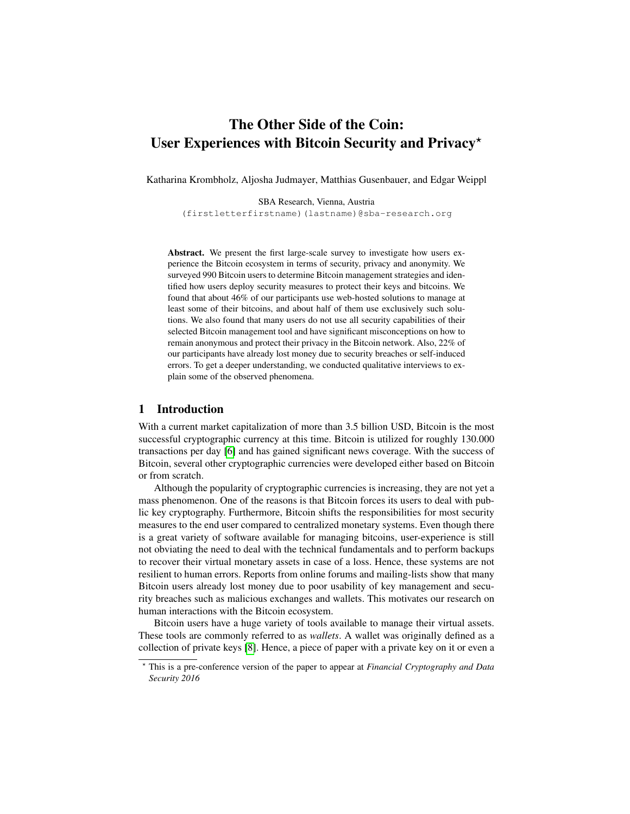# The Other Side of the Coin: User Experiences with Bitcoin Security and Privacy<sup>\*</sup>

Katharina Krombholz, Aljosha Judmayer, Matthias Gusenbauer, and Edgar Weippl

SBA Research, Vienna, Austria (firstletterfirstname)(lastname)@sba-research.org

Abstract. We present the first large-scale survey to investigate how users experience the Bitcoin ecosystem in terms of security, privacy and anonymity. We surveyed 990 Bitcoin users to determine Bitcoin management strategies and identified how users deploy security measures to protect their keys and bitcoins. We found that about 46% of our participants use web-hosted solutions to manage at least some of their bitcoins, and about half of them use exclusively such solutions. We also found that many users do not use all security capabilities of their selected Bitcoin management tool and have significant misconceptions on how to remain anonymous and protect their privacy in the Bitcoin network. Also, 22% of our participants have already lost money due to security breaches or self-induced errors. To get a deeper understanding, we conducted qualitative interviews to explain some of the observed phenomena.

# 1 Introduction

With a current market capitalization of more than 3.5 billion USD, Bitcoin is the most successful cryptographic currency at this time. Bitcoin is utilized for roughly 130.000 transactions per day [\[6\]](#page-15-0) and has gained significant news coverage. With the success of Bitcoin, several other cryptographic currencies were developed either based on Bitcoin or from scratch.

Although the popularity of cryptographic currencies is increasing, they are not yet a mass phenomenon. One of the reasons is that Bitcoin forces its users to deal with public key cryptography. Furthermore, Bitcoin shifts the responsibilities for most security measures to the end user compared to centralized monetary systems. Even though there is a great variety of software available for managing bitcoins, user-experience is still not obviating the need to deal with the technical fundamentals and to perform backups to recover their virtual monetary assets in case of a loss. Hence, these systems are not resilient to human errors. Reports from online forums and mailing-lists show that many Bitcoin users already lost money due to poor usability of key management and security breaches such as malicious exchanges and wallets. This motivates our research on human interactions with the Bitcoin ecosystem.

Bitcoin users have a huge variety of tools available to manage their virtual assets. These tools are commonly referred to as *wallets*. A wallet was originally defined as a collection of private keys [\[8\]](#page-15-1). Hence, a piece of paper with a private key on it or even a

<sup>?</sup> This is a pre-conference version of the paper to appear at *Financial Cryptography and Data Security 2016*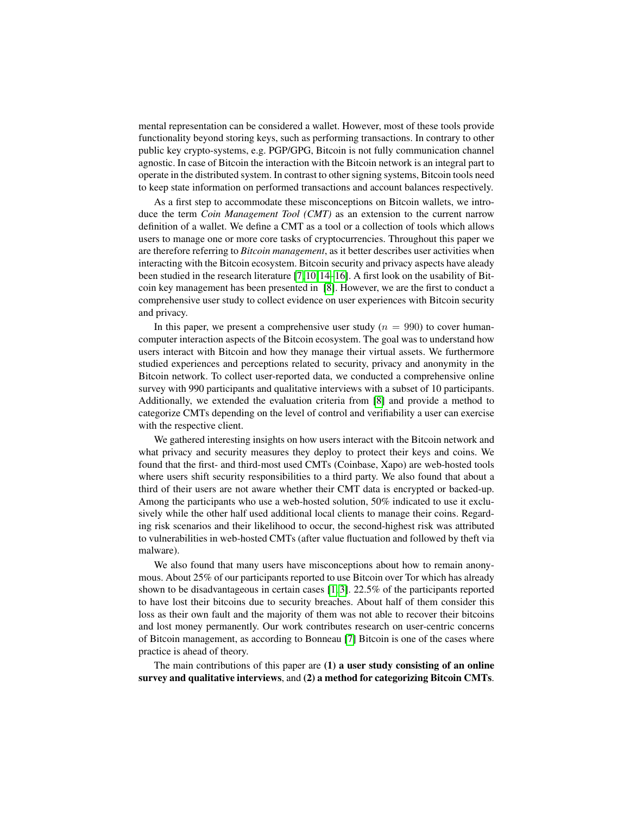mental representation can be considered a wallet. However, most of these tools provide functionality beyond storing keys, such as performing transactions. In contrary to other public key crypto-systems, e.g. PGP/GPG, Bitcoin is not fully communication channel agnostic. In case of Bitcoin the interaction with the Bitcoin network is an integral part to operate in the distributed system. In contrast to other signing systems, Bitcoin tools need to keep state information on performed transactions and account balances respectively.

As a first step to accommodate these misconceptions on Bitcoin wallets, we introduce the term *Coin Management Tool (CMT)* as an extension to the current narrow definition of a wallet. We define a CMT as a tool or a collection of tools which allows users to manage one or more core tasks of cryptocurrencies. Throughout this paper we are therefore referring to *Bitcoin management*, as it better describes user activities when interacting with the Bitcoin ecosystem. Bitcoin security and privacy aspects have aleady been studied in the research literature [\[7,](#page-15-2) [10,](#page-15-3) [14–](#page-15-4)[16\]](#page-15-5). A first look on the usability of Bitcoin key management has been presented in [\[8\]](#page-15-1). However, we are the first to conduct a comprehensive user study to collect evidence on user experiences with Bitcoin security and privacy.

In this paper, we present a comprehensive user study ( $n = 990$ ) to cover humancomputer interaction aspects of the Bitcoin ecosystem. The goal was to understand how users interact with Bitcoin and how they manage their virtual assets. We furthermore studied experiences and perceptions related to security, privacy and anonymity in the Bitcoin network. To collect user-reported data, we conducted a comprehensive online survey with 990 participants and qualitative interviews with a subset of 10 participants. Additionally, we extended the evaluation criteria from [\[8\]](#page-15-1) and provide a method to categorize CMTs depending on the level of control and verifiability a user can exercise with the respective client.

We gathered interesting insights on how users interact with the Bitcoin network and what privacy and security measures they deploy to protect their keys and coins. We found that the first- and third-most used CMTs (Coinbase, Xapo) are web-hosted tools where users shift security responsibilities to a third party. We also found that about a third of their users are not aware whether their CMT data is encrypted or backed-up. Among the participants who use a web-hosted solution, 50% indicated to use it exclusively while the other half used additional local clients to manage their coins. Regarding risk scenarios and their likelihood to occur, the second-highest risk was attributed to vulnerabilities in web-hosted CMTs (after value fluctuation and followed by theft via malware).

We also found that many users have misconceptions about how to remain anonymous. About 25% of our participants reported to use Bitcoin over Tor which has already shown to be disadvantageous in certain cases [\[1,](#page-15-6) [3\]](#page-15-7). 22.5% of the participants reported to have lost their bitcoins due to security breaches. About half of them consider this loss as their own fault and the majority of them was not able to recover their bitcoins and lost money permanently. Our work contributes research on user-centric concerns of Bitcoin management, as according to Bonneau [\[7\]](#page-15-2) Bitcoin is one of the cases where practice is ahead of theory.

The main contributions of this paper are  $(1)$  a user study consisting of an online survey and qualitative interviews, and (2) a method for categorizing Bitcoin CMTs.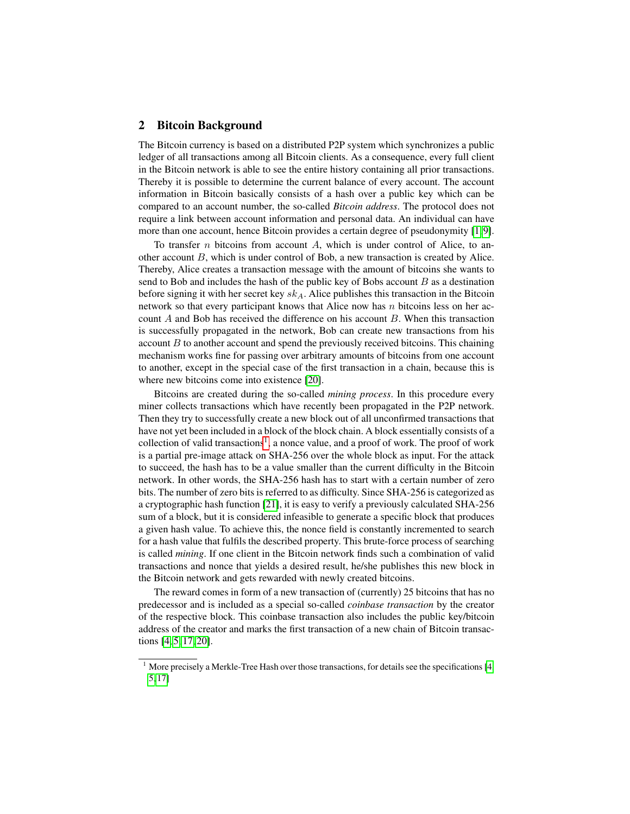### 2 Bitcoin Background

The Bitcoin currency is based on a distributed P2P system which synchronizes a public ledger of all transactions among all Bitcoin clients. As a consequence, every full client in the Bitcoin network is able to see the entire history containing all prior transactions. Thereby it is possible to determine the current balance of every account. The account information in Bitcoin basically consists of a hash over a public key which can be compared to an account number, the so-called *Bitcoin address*. The protocol does not require a link between account information and personal data. An individual can have more than one account, hence Bitcoin provides a certain degree of pseudonymity [\[1,](#page-15-6) [9\]](#page-15-8).

To transfer  $n$  bitcoins from account  $A$ , which is under control of Alice, to another account B, which is under control of Bob, a new transaction is created by Alice. Thereby, Alice creates a transaction message with the amount of bitcoins she wants to send to Bob and includes the hash of the public key of Bobs account  $B$  as a destination before signing it with her secret key  $sk_A$ . Alice publishes this transaction in the Bitcoin network so that every participant knows that Alice now has  $n$  bitcoins less on her account  $A$  and Bob has received the difference on his account  $B$ . When this transaction is successfully propagated in the network, Bob can create new transactions from his account  $B$  to another account and spend the previously received bitcoins. This chaining mechanism works fine for passing over arbitrary amounts of bitcoins from one account to another, except in the special case of the first transaction in a chain, because this is where new bitcoins come into existence [\[20\]](#page-15-9).

Bitcoins are created during the so-called *mining process*. In this procedure every miner collects transactions which have recently been propagated in the P2P network. Then they try to successfully create a new block out of all unconfirmed transactions that have not yet been included in a block of the block chain. A block essentially consists of a collection of valid transactions<sup>[1](#page-2-0)</sup>, a nonce value, and a proof of work. The proof of work is a partial pre-image attack on SHA-256 over the whole block as input. For the attack to succeed, the hash has to be a value smaller than the current difficulty in the Bitcoin network. In other words, the SHA-256 hash has to start with a certain number of zero bits. The number of zero bits is referred to as difficulty. Since SHA-256 is categorized as a cryptographic hash function [\[21\]](#page-15-10), it is easy to verify a previously calculated SHA-256 sum of a block, but it is considered infeasible to generate a specific block that produces a given hash value. To achieve this, the nonce field is constantly incremented to search for a hash value that fulfils the described property. This brute-force process of searching is called *mining*. If one client in the Bitcoin network finds such a combination of valid transactions and nonce that yields a desired result, he/she publishes this new block in the Bitcoin network and gets rewarded with newly created bitcoins.

The reward comes in form of a new transaction of (currently) 25 bitcoins that has no predecessor and is included as a special so-called *coinbase transaction* by the creator of the respective block. This coinbase transaction also includes the public key/bitcoin address of the creator and marks the first transaction of a new chain of Bitcoin transactions [\[4,](#page-15-11) [5,](#page-15-12) [17,](#page-15-13) [20\]](#page-15-9).

<span id="page-2-0"></span> $1$  More precisely a Merkle-Tree Hash over those transactions, for details see the specifications [\[4,](#page-15-11) [5,](#page-15-12) [17\]](#page-15-13)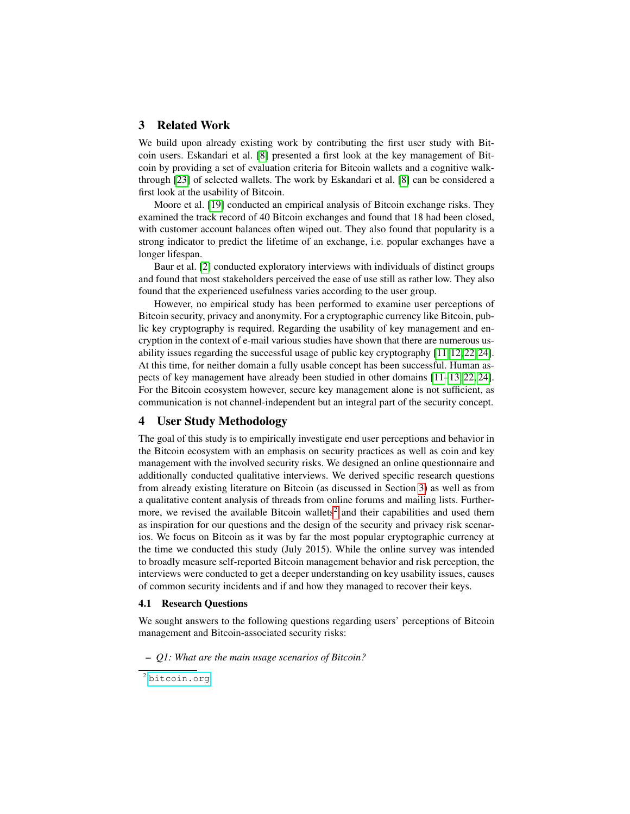# <span id="page-3-0"></span>3 Related Work

We build upon already existing work by contributing the first user study with Bitcoin users. Eskandari et al. [\[8\]](#page-15-1) presented a first look at the key management of Bitcoin by providing a set of evaluation criteria for Bitcoin wallets and a cognitive walkthrough [\[23\]](#page-15-14) of selected wallets. The work by Eskandari et al. [\[8\]](#page-15-1) can be considered a first look at the usability of Bitcoin.

Moore et al. [\[19\]](#page-15-15) conducted an empirical analysis of Bitcoin exchange risks. They examined the track record of 40 Bitcoin exchanges and found that 18 had been closed, with customer account balances often wiped out. They also found that popularity is a strong indicator to predict the lifetime of an exchange, i.e. popular exchanges have a longer lifespan.

Baur et al. [\[2\]](#page-15-16) conducted exploratory interviews with individuals of distinct groups and found that most stakeholders perceived the ease of use still as rather low. They also found that the experienced usefulness varies according to the user group.

However, no empirical study has been performed to examine user perceptions of Bitcoin security, privacy and anonymity. For a cryptographic currency like Bitcoin, public key cryptography is required. Regarding the usability of key management and encryption in the context of e-mail various studies have shown that there are numerous usability issues regarding the successful usage of public key cryptography [\[11,](#page-15-17)[12,](#page-15-18)[22,](#page-15-19)[24\]](#page-16-0). At this time, for neither domain a fully usable concept has been successful. Human aspects of key management have already been studied in other domains [\[11–](#page-15-17)[13,](#page-15-20) [22,](#page-15-19) [24\]](#page-16-0). For the Bitcoin ecosystem however, secure key management alone is not sufficient, as communication is not channel-independent but an integral part of the security concept.

# 4 User Study Methodology

The goal of this study is to empirically investigate end user perceptions and behavior in the Bitcoin ecosystem with an emphasis on security practices as well as coin and key management with the involved security risks. We designed an online questionnaire and additionally conducted qualitative interviews. We derived specific research questions from already existing literature on Bitcoin (as discussed in Section [3\)](#page-3-0) as well as from a qualitative content analysis of threads from online forums and mailing lists. Further-more, we revised the available Bitcoin wallets<sup>[2](#page-3-1)</sup> and their capabilities and used them as inspiration for our questions and the design of the security and privacy risk scenarios. We focus on Bitcoin as it was by far the most popular cryptographic currency at the time we conducted this study (July 2015). While the online survey was intended to broadly measure self-reported Bitcoin management behavior and risk perception, the interviews were conducted to get a deeper understanding on key usability issues, causes of common security incidents and if and how they managed to recover their keys.

#### <span id="page-3-2"></span>4.1 Research Questions

We sought answers to the following questions regarding users' perceptions of Bitcoin management and Bitcoin-associated security risks:

– *Q1: What are the main usage scenarios of Bitcoin?*

<span id="page-3-1"></span><sup>2</sup> <bitcoin.org>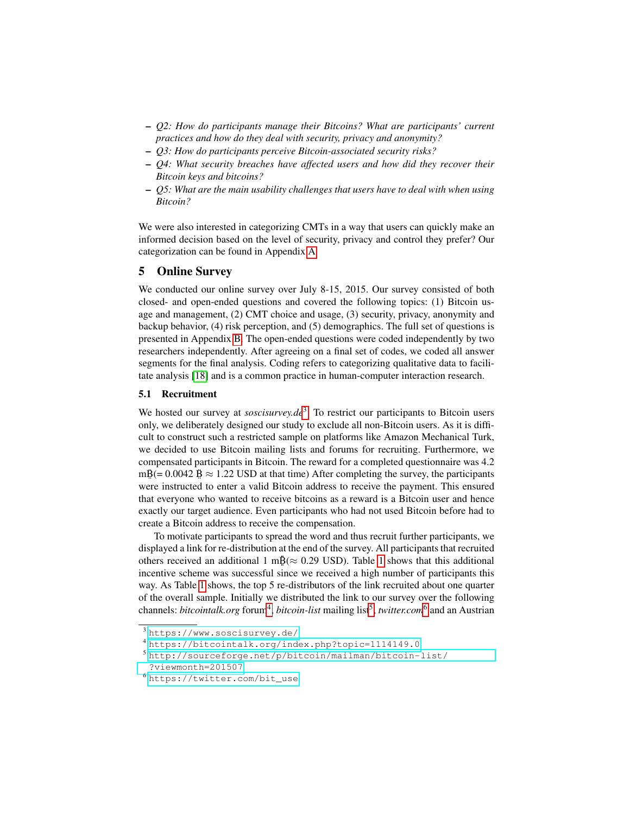- *Q2: How do participants manage their Bitcoins? What are participants' current practices and how do they deal with security, privacy and anonymity?*
- *Q3: How do participants perceive Bitcoin-associated security risks?*
- *Q4: What security breaches have affected users and how did they recover their Bitcoin keys and bitcoins?*
- *Q5: What are the main usability challenges that users have to deal with when using Bitcoin?*

We were also interested in categorizing CMTs in a way that users can quickly make an informed decision based on the level of security, privacy and control they prefer? Our categorization can be found in Appendix [A.](#page-16-1)

# 5 Online Survey

We conducted our online survey over July 8-15, 2015. Our survey consisted of both closed- and open-ended questions and covered the following topics: (1) Bitcoin usage and management, (2) CMT choice and usage, (3) security, privacy, anonymity and backup behavior, (4) risk perception, and (5) demographics. The full set of questions is presented in Appendix [B.](#page-18-0) The open-ended questions were coded independently by two researchers independently. After agreeing on a final set of codes, we coded all answer segments for the final analysis. Coding refers to categorizing qualitative data to facilitate analysis [\[18\]](#page-15-21) and is a common practice in human-computer interaction research.

### 5.1 Recruitment

We hosted our survey at *soscisurvey.de*<sup>[3](#page-4-0)</sup>. To restrict our participants to Bitcoin users only, we deliberately designed our study to exclude all non-Bitcoin users. As it is difficult to construct such a restricted sample on platforms like Amazon Mechanical Turk, we decided to use Bitcoin mailing lists and forums for recruiting. Furthermore, we compensated participants in Bitcoin. The reward for a completed questionnaire was 4.2  $m\ddot{\mathbf{j}} = 0.0042 \ddot{\mathbf{j}} \approx 1.22 \text{ USD}$  at that time) After completing the survey, the participants were instructed to enter a valid Bitcoin address to receive the payment. This ensured that everyone who wanted to receive bitcoins as a reward is a Bitcoin user and hence exactly our target audience. Even participants who had not used Bitcoin before had to create a Bitcoin address to receive the compensation.

To motivate participants to spread the word and thus recruit further participants, we displayed a link for re-distribution at the end of the survey. All participants that recruited others received an additional [1](#page-5-0) mB( $\approx$  0.29 USD). Table 1 shows that this additional incentive scheme was successful since we received a high number of participants this way. As Table [1](#page-5-0) shows, the top 5 re-distributors of the link recruited about one quarter of the overall sample. Initially we distributed the link to our survey over the following channels: *bitcointalk.org* forum<sup>[4](#page-4-1)</sup>, *bitcoin-list* mailing list<sup>[5](#page-4-2)</sup>, *twitter.com*<sup>[6](#page-4-3)</sup> and an Austrian

<span id="page-4-0"></span><sup>3</sup> <https://www.soscisurvey.de/>

<span id="page-4-1"></span><sup>4</sup> <https://bitcointalk.org/index.php?topic=1114149.0>

<span id="page-4-2"></span><sup>5</sup> [http://sourceforge.net/p/bitcoin/mailman/bitcoin-list/](http://sourceforge.net/p/bitcoin/mailman/bitcoin-list/?viewmonth=201507)

[<sup>?</sup>viewmonth=201507](http://sourceforge.net/p/bitcoin/mailman/bitcoin-list/?viewmonth=201507)

<span id="page-4-3"></span><sup>6</sup> [https://twitter.com/bit\\_use](https://twitter.com/bit_use)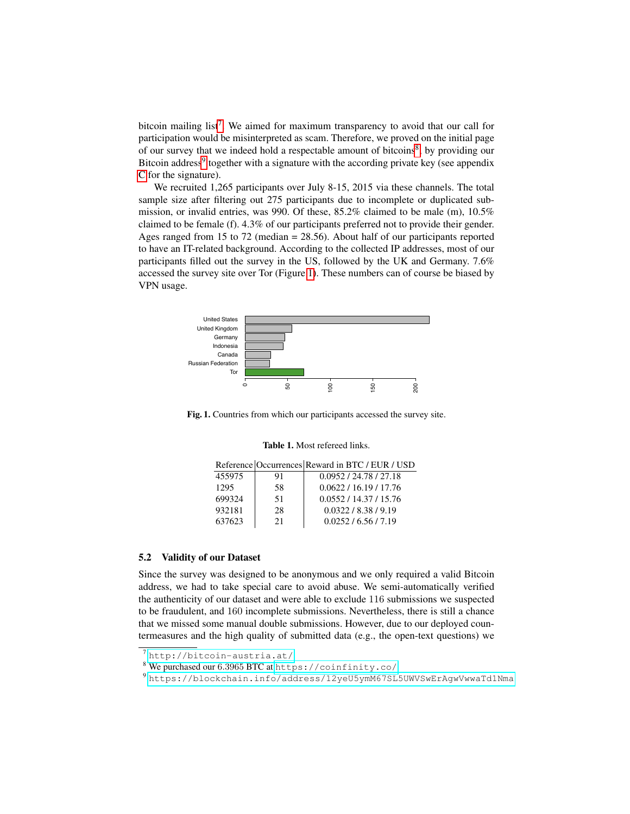bitcoin mailing list<sup>[7](#page-5-1)</sup>. We aimed for maximum transparency to avoid that our call for participation would be misinterpreted as scam. Therefore, we proved on the initial page of our survey that we indeed hold a respectable amount of bitcoins<sup>[8](#page-5-2)</sup>, by providing our Bitcoin address<sup>[9](#page-5-3)</sup> together with a signature with the according private key (see appendix [C](#page-24-0) for the signature).

We recruited 1,265 participants over July 8-15, 2015 via these channels. The total sample size after filtering out 275 participants due to incomplete or duplicated submission, or invalid entries, was 990. Of these, 85.2% claimed to be male (m), 10.5% claimed to be female (f). 4.3% of our participants preferred not to provide their gender. Ages ranged from 15 to 72 (median = 28.56). About half of our participants reported to have an IT-related background. According to the collected IP addresses, most of our participants filled out the survey in the US, followed by the UK and Germany. 7.6% accessed the survey site over Tor (Figure [1\)](#page-5-4). These numbers can of course be biased by VPN usage.



<span id="page-5-4"></span>Fig. 1. Countries from which our participants accessed the survey site.

|        |    | Reference Occurrences Reward in BTC / EUR / USD |
|--------|----|-------------------------------------------------|
| 455975 | 91 | 0.0952/24.78/27.18                              |
| 1295   | 58 | 0.0622/16.19/17.76                              |
| 699324 | 51 | 0.0552 / 14.37 / 15.76                          |
| 932181 | 28 | 0.0322/8.38/9.19                                |
| 637623 | 21 | 0.0252/6.56/7.19                                |

<span id="page-5-0"></span>Table 1. Most refereed links.

#### 5.2 Validity of our Dataset

Since the survey was designed to be anonymous and we only required a valid Bitcoin address, we had to take special care to avoid abuse. We semi-automatically verified the authenticity of our dataset and were able to exclude 116 submissions we suspected to be fraudulent, and 160 incomplete submissions. Nevertheless, there is still a chance that we missed some manual double submissions. However, due to our deployed countermeasures and the high quality of submitted data (e.g., the open-text questions) we

<span id="page-5-1"></span><sup>7</sup> <http://bitcoin-austria.at/>

<span id="page-5-2"></span><sup>8</sup> We purchased our 6.3965 BTC at <https://coinfinity.co/>

<span id="page-5-3"></span><sup>9</sup> <https://blockchain.info/address/12yeU5ymM67SL5UWVSwErAgwVwwaTd1Nma>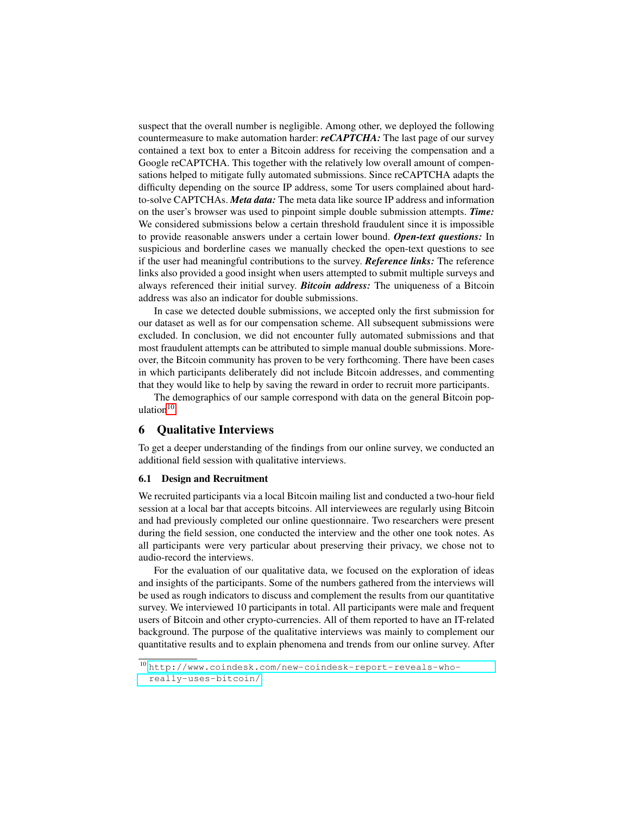suspect that the overall number is negligible. Among other, we deployed the following countermeasure to make automation harder: *reCAPTCHA:* The last page of our survey contained a text box to enter a Bitcoin address for receiving the compensation and a Google reCAPTCHA. This together with the relatively low overall amount of compensations helped to mitigate fully automated submissions. Since reCAPTCHA adapts the difficulty depending on the source IP address, some Tor users complained about hardto-solve CAPTCHAs. *Meta data:* The meta data like source IP address and information on the user's browser was used to pinpoint simple double submission attempts. *Time:* We considered submissions below a certain threshold fraudulent since it is impossible to provide reasonable answers under a certain lower bound. *Open-text questions:* In suspicious and borderline cases we manually checked the open-text questions to see if the user had meaningful contributions to the survey. *Reference links:* The reference links also provided a good insight when users attempted to submit multiple surveys and always referenced their initial survey. *Bitcoin address:* The uniqueness of a Bitcoin address was also an indicator for double submissions.

In case we detected double submissions, we accepted only the first submission for our dataset as well as for our compensation scheme. All subsequent submissions were excluded. In conclusion, we did not encounter fully automated submissions and that most fraudulent attempts can be attributed to simple manual double submissions. Moreover, the Bitcoin community has proven to be very forthcoming. There have been cases in which participants deliberately did not include Bitcoin addresses, and commenting that they would like to help by saving the reward in order to recruit more participants.

The demographics of our sample correspond with data on the general Bitcoin population $10$ .

### 6 Qualitative Interviews

To get a deeper understanding of the findings from our online survey, we conducted an additional field session with qualitative interviews.

#### 6.1 Design and Recruitment

We recruited participants via a local Bitcoin mailing list and conducted a two-hour field session at a local bar that accepts bitcoins. All interviewees are regularly using Bitcoin and had previously completed our online questionnaire. Two researchers were present during the field session, one conducted the interview and the other one took notes. As all participants were very particular about preserving their privacy, we chose not to audio-record the interviews.

For the evaluation of our qualitative data, we focused on the exploration of ideas and insights of the participants. Some of the numbers gathered from the interviews will be used as rough indicators to discuss and complement the results from our quantitative survey. We interviewed 10 participants in total. All participants were male and frequent users of Bitcoin and other crypto-currencies. All of them reported to have an IT-related background. The purpose of the qualitative interviews was mainly to complement our quantitative results and to explain phenomena and trends from our online survey. After

<span id="page-6-0"></span><sup>10</sup> [http://www.coindesk.com/new-coindesk-report-reveals-who](http://www.coindesk.com/new-coindesk-report-reveals-who-really-uses-bitcoin/)[really-uses-bitcoin/](http://www.coindesk.com/new-coindesk-report-reveals-who-really-uses-bitcoin/)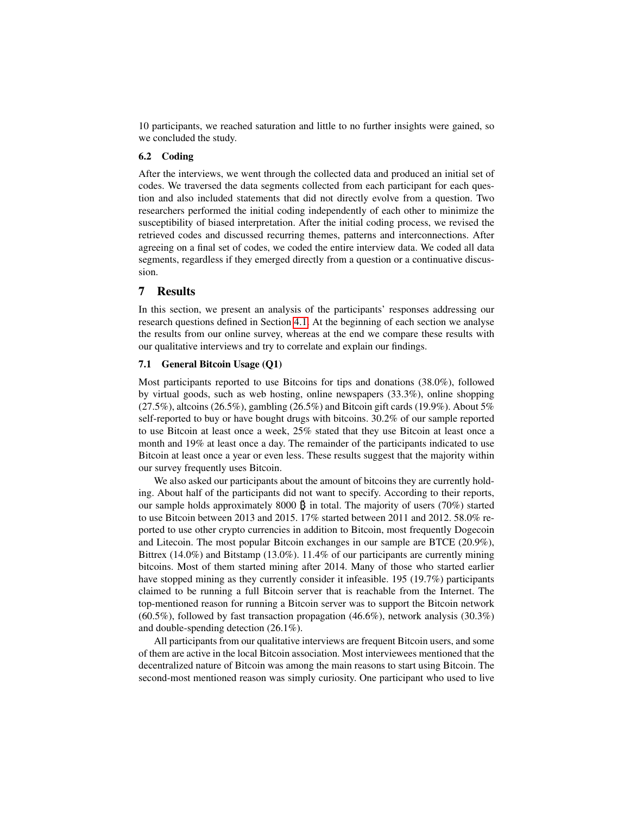10 participants, we reached saturation and little to no further insights were gained, so we concluded the study.

#### 6.2 Coding

After the interviews, we went through the collected data and produced an initial set of codes. We traversed the data segments collected from each participant for each question and also included statements that did not directly evolve from a question. Two researchers performed the initial coding independently of each other to minimize the susceptibility of biased interpretation. After the initial coding process, we revised the retrieved codes and discussed recurring themes, patterns and interconnections. After agreeing on a final set of codes, we coded the entire interview data. We coded all data segments, regardless if they emerged directly from a question or a continuative discussion.

#### 7 Results

In this section, we present an analysis of the participants' responses addressing our research questions defined in Section [4.1.](#page-3-2) At the beginning of each section we analyse the results from our online survey, whereas at the end we compare these results with our qualitative interviews and try to correlate and explain our findings.

#### 7.1 General Bitcoin Usage (Q1)

Most participants reported to use Bitcoins for tips and donations (38.0%), followed by virtual goods, such as web hosting, online newspapers (33.3%), online shopping (27.5%), altcoins (26.5%), gambling (26.5%) and Bitcoin gift cards (19.9%). About 5% self-reported to buy or have bought drugs with bitcoins. 30.2% of our sample reported to use Bitcoin at least once a week, 25% stated that they use Bitcoin at least once a month and 19% at least once a day. The remainder of the participants indicated to use Bitcoin at least once a year or even less. These results suggest that the majority within our survey frequently uses Bitcoin.

We also asked our participants about the amount of bitcoins they are currently holding. About half of the participants did not want to specify. According to their reports, our sample holds approximately 8000  $\ddot{\beta}$  in total. The majority of users (70%) started to use Bitcoin between 2013 and 2015. 17% started between 2011 and 2012. 58.0% reported to use other crypto currencies in addition to Bitcoin, most frequently Dogecoin and Litecoin. The most popular Bitcoin exchanges in our sample are BTCE (20.9%), Bittrex (14.0%) and Bitstamp (13.0%). 11.4% of our participants are currently mining bitcoins. Most of them started mining after 2014. Many of those who started earlier have stopped mining as they currently consider it infeasible. 195 (19.7%) participants claimed to be running a full Bitcoin server that is reachable from the Internet. The top-mentioned reason for running a Bitcoin server was to support the Bitcoin network (60.5%), followed by fast transaction propagation (46.6%), network analysis (30.3%) and double-spending detection (26.1%).

All participants from our qualitative interviews are frequent Bitcoin users, and some of them are active in the local Bitcoin association. Most interviewees mentioned that the decentralized nature of Bitcoin was among the main reasons to start using Bitcoin. The second-most mentioned reason was simply curiosity. One participant who used to live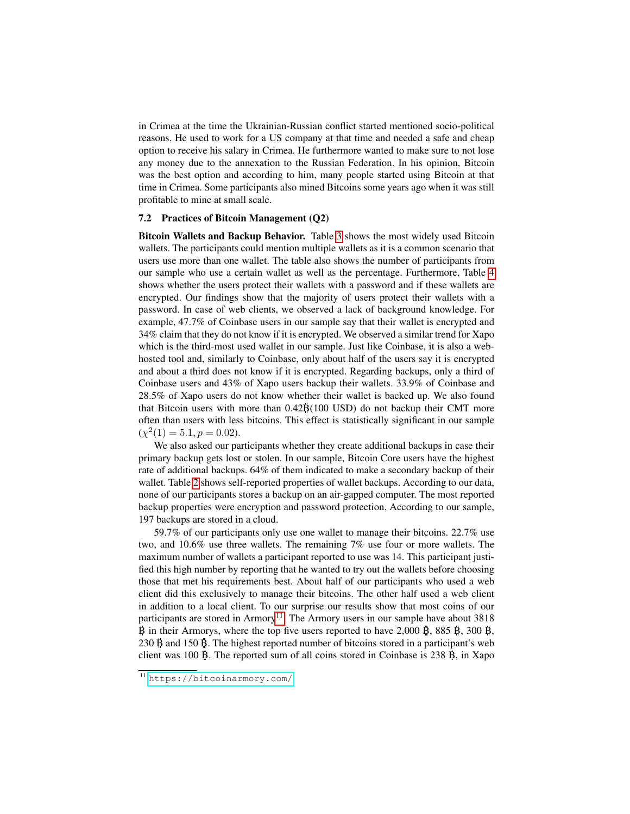in Crimea at the time the Ukrainian-Russian conflict started mentioned socio-political reasons. He used to work for a US company at that time and needed a safe and cheap option to receive his salary in Crimea. He furthermore wanted to make sure to not lose any money due to the annexation to the Russian Federation. In his opinion, Bitcoin was the best option and according to him, many people started using Bitcoin at that time in Crimea. Some participants also mined Bitcoins some years ago when it was still profitable to mine at small scale.

#### 7.2 Practices of Bitcoin Management (Q2)

Bitcoin Wallets and Backup Behavior. Table [3](#page-9-0) shows the most widely used Bitcoin wallets. The participants could mention multiple wallets as it is a common scenario that users use more than one wallet. The table also shows the number of participants from our sample who use a certain wallet as well as the percentage. Furthermore, Table [4](#page-10-0) shows whether the users protect their wallets with a password and if these wallets are encrypted. Our findings show that the majority of users protect their wallets with a password. In case of web clients, we observed a lack of background knowledge. For example, 47.7% of Coinbase users in our sample say that their wallet is encrypted and 34% claim that they do not know if it is encrypted. We observed a similar trend for Xapo which is the third-most used wallet in our sample. Just like Coinbase, it is also a webhosted tool and, similarly to Coinbase, only about half of the users say it is encrypted and about a third does not know if it is encrypted. Regarding backups, only a third of Coinbase users and 43% of Xapo users backup their wallets. 33.9% of Coinbase and 28.5% of Xapo users do not know whether their wallet is backed up. We also found that Bitcoin users with more than 0.42B(100 USD) do not backup their CMT more often than users with less bitcoins. This effect is statistically significant in our sample  $(\chi^2(1) = 5.1, p = 0.02).$ 

We also asked our participants whether they create additional backups in case their primary backup gets lost or stolen. In our sample, Bitcoin Core users have the highest rate of additional backups. 64% of them indicated to make a secondary backup of their wallet. Table [2](#page-9-1) shows self-reported properties of wallet backups. According to our data, none of our participants stores a backup on an air-gapped computer. The most reported backup properties were encryption and password protection. According to our sample, 197 backups are stored in a cloud.

59.7% of our participants only use one wallet to manage their bitcoins. 22.7% use two, and 10.6% use three wallets. The remaining 7% use four or more wallets. The maximum number of wallets a participant reported to use was 14. This participant justified this high number by reporting that he wanted to try out the wallets before choosing those that met his requirements best. About half of our participants who used a web client did this exclusively to manage their bitcoins. The other half used a web client in addition to a local client. To our surprise our results show that most coins of our participants are stored in Armory<sup>[11](#page-8-0)</sup>. The Armory users in our sample have about  $3818$  $\ddot{B}$  in their Armorys, where the top five users reported to have 2,000  $\ddot{B}$ , 885  $\ddot{B}$ , 300  $\ddot{B}$ , 230 B and 150 B. The highest reported number of bitcoins stored in a participant's web client was 100  $\ddot{\beta}$ . The reported sum of all coins stored in Coinbase is 238  $\ddot{\beta}$ , in Xapo

<span id="page-8-0"></span><sup>11</sup> <https://bitcoinarmory.com/>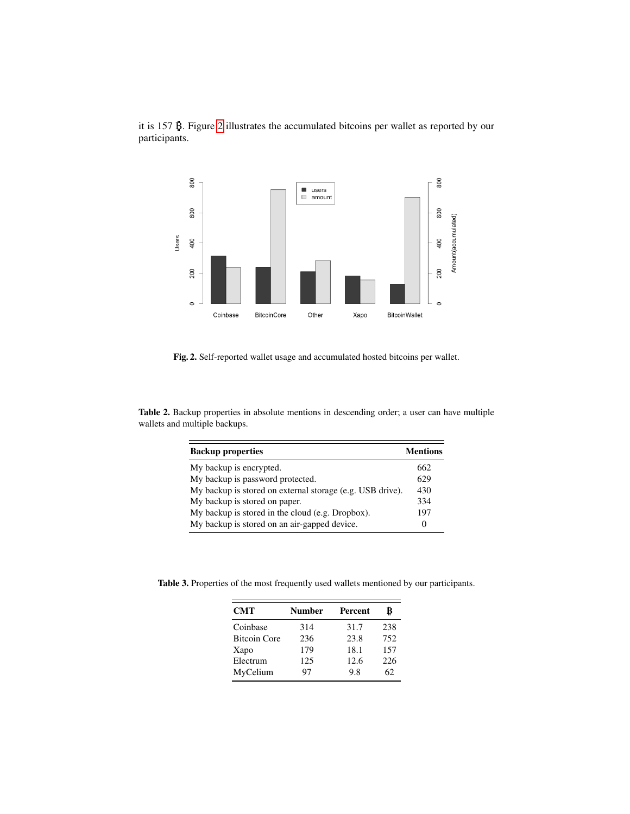

it is 157 B. Figure [2](#page-9-2) illustrates the accumulated bitcoins per wallet as reported by our participants.

<span id="page-9-2"></span>Fig. 2. Self-reported wallet usage and accumulated hosted bitcoins per wallet.

<span id="page-9-1"></span>Table 2. Backup properties in absolute mentions in descending order; a user can have multiple wallets and multiple backups.

| <b>Backup properties</b>                                  |     |  |
|-----------------------------------------------------------|-----|--|
| My backup is encrypted.                                   | 662 |  |
| My backup is password protected.                          | 629 |  |
| My backup is stored on external storage (e.g. USB drive). |     |  |
| My backup is stored on paper.                             | 334 |  |
| My backup is stored in the cloud (e.g. Dropbox).          | 197 |  |
| My backup is stored on an air-gapped device.              |     |  |

<span id="page-9-0"></span>Table 3. Properties of the most frequently used wallets mentioned by our participants.

| <b>CMT</b>          | <b>Number</b> | Percent | B   |  |
|---------------------|---------------|---------|-----|--|
| Coinbase            | 314           | 31.7    | 238 |  |
| <b>Bitcoin Core</b> | 236           | 23.8    | 752 |  |
| Xapo                | 179           | 18.1    | 157 |  |
| Electrum            | 125           | 12.6    | 226 |  |
| MyCelium            | 97            | 9.8     | 62. |  |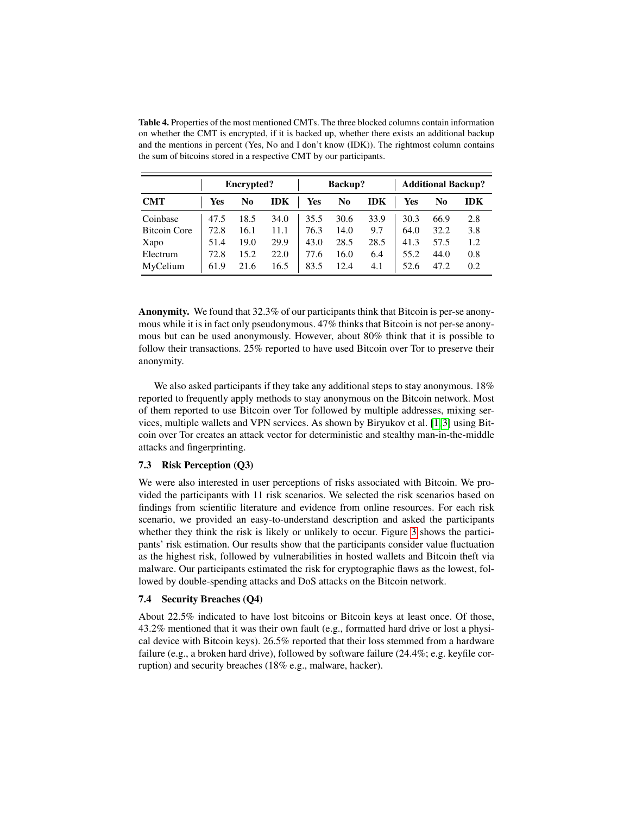|                     | <b>Encrypted?</b> |                |      | Backup?    |                |            | <b>Additional Backup?</b> |      |     |
|---------------------|-------------------|----------------|------|------------|----------------|------------|---------------------------|------|-----|
| <b>CMT</b>          | Yes               | N <sub>0</sub> | IDK  | <b>Yes</b> | N <sub>0</sub> | <b>IDK</b> | Yes                       | No   | IDK |
| Coinbase            | 47.5              | 18.5           | 34.0 | 35.5       | 30.6           | 33.9       | 30.3                      | 66.9 | 2.8 |
| <b>Bitcoin Core</b> | 72.8              | 16.1           | 11.1 | 76.3       | 14.0           | 9.7        | 64.0                      | 32.2 | 3.8 |
| Xapo                | 51.4              | 19.0           | 29.9 | 43.0       | 28.5           | 28.5       | 41.3                      | 57.5 | 1.2 |
| Electrum            | 72.8              | 15.2           | 22.0 | 77.6       | 16.0           | 6.4        | 55.2                      | 44.0 | 0.8 |
| MyCelium            | 61.9              | 21.6           | 16.5 | 83.5       | 12.4           | 4.1        | 52.6                      | 47.2 | 0.2 |

<span id="page-10-0"></span>Table 4. Properties of the most mentioned CMTs. The three blocked columns contain information on whether the CMT is encrypted, if it is backed up, whether there exists an additional backup and the mentions in percent (Yes, No and I don't know (IDK)). The rightmost column contains the sum of bitcoins stored in a respective CMT by our participants.

Anonymity. We found that 32.3% of our participants think that Bitcoin is per-se anonymous while it is in fact only pseudonymous. 47% thinks that Bitcoin is not per-se anonymous but can be used anonymously. However, about 80% think that it is possible to follow their transactions. 25% reported to have used Bitcoin over Tor to preserve their anonymity.

We also asked participants if they take any additional steps to stay anonymous. 18% reported to frequently apply methods to stay anonymous on the Bitcoin network. Most of them reported to use Bitcoin over Tor followed by multiple addresses, mixing services, multiple wallets and VPN services. As shown by Biryukov et al. [\[1,](#page-15-6) [3\]](#page-15-7) using Bitcoin over Tor creates an attack vector for deterministic and stealthy man-in-the-middle attacks and fingerprinting.

#### 7.3 Risk Perception (Q3)

We were also interested in user perceptions of risks associated with Bitcoin. We provided the participants with 11 risk scenarios. We selected the risk scenarios based on findings from scientific literature and evidence from online resources. For each risk scenario, we provided an easy-to-understand description and asked the participants whether they think the risk is likely or unlikely to occur. Figure [3](#page-11-0) shows the participants' risk estimation. Our results show that the participants consider value fluctuation as the highest risk, followed by vulnerabilities in hosted wallets and Bitcoin theft via malware. Our participants estimated the risk for cryptographic flaws as the lowest, followed by double-spending attacks and DoS attacks on the Bitcoin network.

### 7.4 Security Breaches (Q4)

About 22.5% indicated to have lost bitcoins or Bitcoin keys at least once. Of those, 43.2% mentioned that it was their own fault (e.g., formatted hard drive or lost a physical device with Bitcoin keys). 26.5% reported that their loss stemmed from a hardware failure (e.g., a broken hard drive), followed by software failure (24.4%; e.g. keyfile corruption) and security breaches (18% e.g., malware, hacker).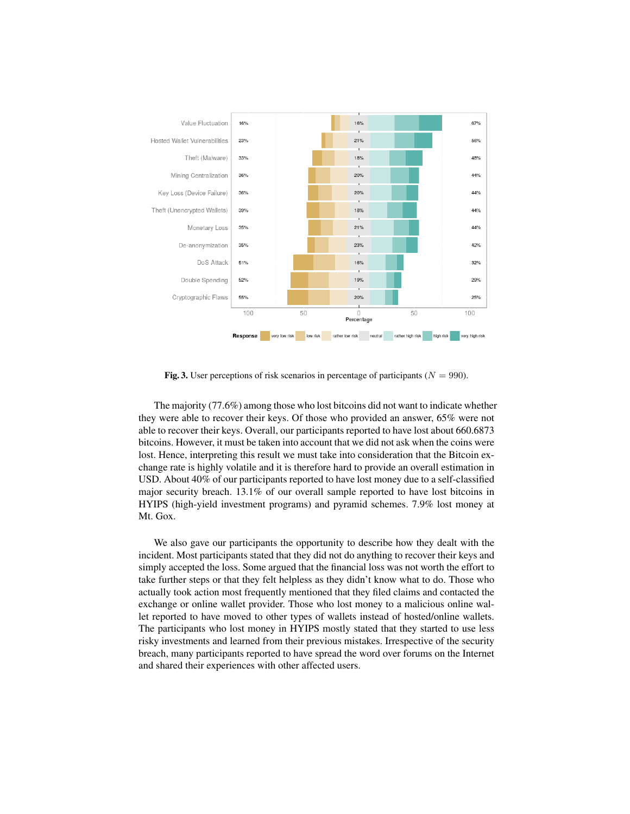

<span id="page-11-0"></span>Fig. 3. User perceptions of risk scenarios in percentage of participants ( $N = 990$ ).

The majority (77.6%) among those who lost bitcoins did not want to indicate whether they were able to recover their keys. Of those who provided an answer, 65% were not able to recover their keys. Overall, our participants reported to have lost about 660.6873 bitcoins. However, it must be taken into account that we did not ask when the coins were lost. Hence, interpreting this result we must take into consideration that the Bitcoin exchange rate is highly volatile and it is therefore hard to provide an overall estimation in USD. About 40% of our participants reported to have lost money due to a self-classified major security breach. 13.1% of our overall sample reported to have lost bitcoins in HYIPS (high-yield investment programs) and pyramid schemes. 7.9% lost money at Mt. Gox.

We also gave our participants the opportunity to describe how they dealt with the incident. Most participants stated that they did not do anything to recover their keys and simply accepted the loss. Some argued that the financial loss was not worth the effort to take further steps or that they felt helpless as they didn't know what to do. Those who actually took action most frequently mentioned that they filed claims and contacted the exchange or online wallet provider. Those who lost money to a malicious online wallet reported to have moved to other types of wallets instead of hosted/online wallets. The participants who lost money in HYIPS mostly stated that they started to use less risky investments and learned from their previous mistakes. Irrespective of the security breach, many participants reported to have spread the word over forums on the Internet and shared their experiences with other affected users.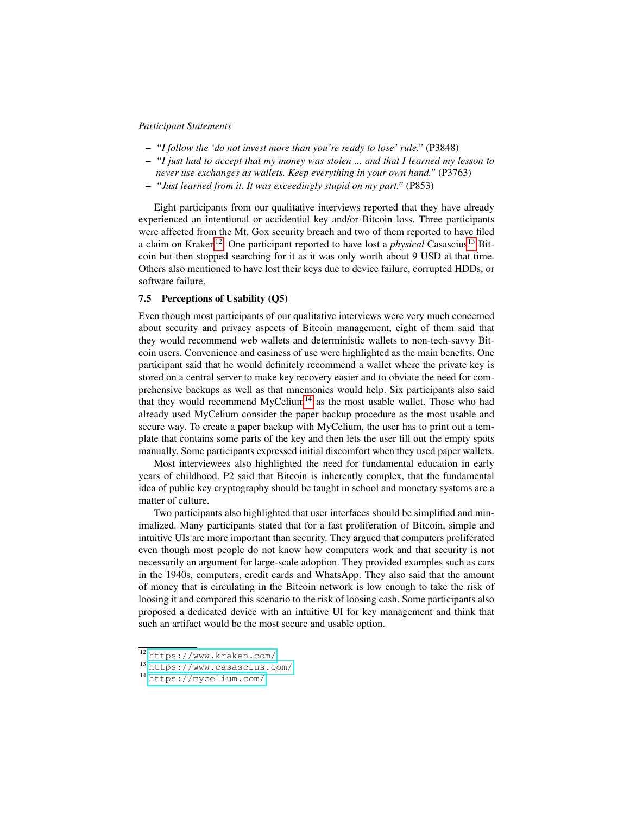#### *Participant Statements*

- *"I follow the 'do not invest more than you're ready to lose' rule."* (P3848)
- *"I just had to accept that my money was stolen ... and that I learned my lesson to never use exchanges as wallets. Keep everything in your own hand."* (P3763)
- *"Just learned from it. It was exceedingly stupid on my part."* (P853)

Eight participants from our qualitative interviews reported that they have already experienced an intentional or accidential key and/or Bitcoin loss. Three participants were affected from the Mt. Gox security breach and two of them reported to have filed a claim on Kraken<sup>[12](#page-12-0)</sup>. One participant reported to have lost a *physical* Casascius<sup>[13](#page-12-1)</sup> Bitcoin but then stopped searching for it as it was only worth about 9 USD at that time. Others also mentioned to have lost their keys due to device failure, corrupted HDDs, or software failure.

### 7.5 Perceptions of Usability (Q5)

Even though most participants of our qualitative interviews were very much concerned about security and privacy aspects of Bitcoin management, eight of them said that they would recommend web wallets and deterministic wallets to non-tech-savvy Bitcoin users. Convenience and easiness of use were highlighted as the main benefits. One participant said that he would definitely recommend a wallet where the private key is stored on a central server to make key recovery easier and to obviate the need for comprehensive backups as well as that mnemonics would help. Six participants also said that they would recommend MyCelium<sup>[14](#page-12-2)</sup> as the most usable wallet. Those who had already used MyCelium consider the paper backup procedure as the most usable and secure way. To create a paper backup with MyCelium, the user has to print out a template that contains some parts of the key and then lets the user fill out the empty spots manually. Some participants expressed initial discomfort when they used paper wallets.

Most interviewees also highlighted the need for fundamental education in early years of childhood. P2 said that Bitcoin is inherently complex, that the fundamental idea of public key cryptography should be taught in school and monetary systems are a matter of culture.

Two participants also highlighted that user interfaces should be simplified and minimalized. Many participants stated that for a fast proliferation of Bitcoin, simple and intuitive UIs are more important than security. They argued that computers proliferated even though most people do not know how computers work and that security is not necessarily an argument for large-scale adoption. They provided examples such as cars in the 1940s, computers, credit cards and WhatsApp. They also said that the amount of money that is circulating in the Bitcoin network is low enough to take the risk of loosing it and compared this scenario to the risk of loosing cash. Some participants also proposed a dedicated device with an intuitive UI for key management and think that such an artifact would be the most secure and usable option.

<span id="page-12-0"></span><sup>12</sup> <https://www.kraken.com/>

<span id="page-12-1"></span><sup>13</sup> <https://www.casascius.com/>

<span id="page-12-2"></span><sup>14</sup> <https://mycelium.com/>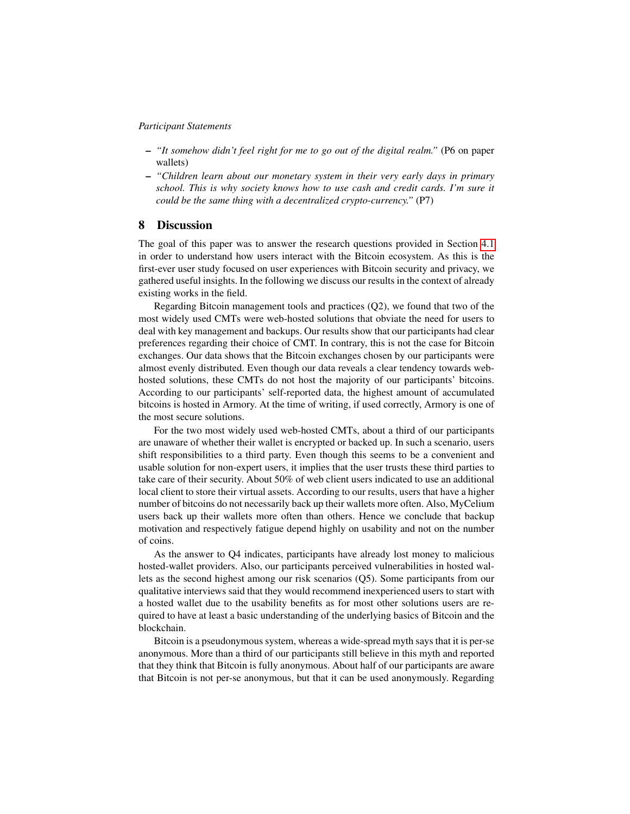#### *Participant Statements*

- *"It somehow didn't feel right for me to go out of the digital realm."* (P6 on paper wallets)
- *"Children learn about our monetary system in their very early days in primary school. This is why society knows how to use cash and credit cards. I'm sure it could be the same thing with a decentralized crypto-currency."* (P7)

### 8 Discussion

The goal of this paper was to answer the research questions provided in Section [4.1](#page-3-2) in order to understand how users interact with the Bitcoin ecosystem. As this is the first-ever user study focused on user experiences with Bitcoin security and privacy, we gathered useful insights. In the following we discuss our results in the context of already existing works in the field.

Regarding Bitcoin management tools and practices (Q2), we found that two of the most widely used CMTs were web-hosted solutions that obviate the need for users to deal with key management and backups. Our results show that our participants had clear preferences regarding their choice of CMT. In contrary, this is not the case for Bitcoin exchanges. Our data shows that the Bitcoin exchanges chosen by our participants were almost evenly distributed. Even though our data reveals a clear tendency towards webhosted solutions, these CMTs do not host the majority of our participants' bitcoins. According to our participants' self-reported data, the highest amount of accumulated bitcoins is hosted in Armory. At the time of writing, if used correctly, Armory is one of the most secure solutions.

For the two most widely used web-hosted CMTs, about a third of our participants are unaware of whether their wallet is encrypted or backed up. In such a scenario, users shift responsibilities to a third party. Even though this seems to be a convenient and usable solution for non-expert users, it implies that the user trusts these third parties to take care of their security. About 50% of web client users indicated to use an additional local client to store their virtual assets. According to our results, users that have a higher number of bitcoins do not necessarily back up their wallets more often. Also, MyCelium users back up their wallets more often than others. Hence we conclude that backup motivation and respectively fatigue depend highly on usability and not on the number of coins.

As the answer to Q4 indicates, participants have already lost money to malicious hosted-wallet providers. Also, our participants perceived vulnerabilities in hosted wallets as the second highest among our risk scenarios (Q5). Some participants from our qualitative interviews said that they would recommend inexperienced users to start with a hosted wallet due to the usability benefits as for most other solutions users are required to have at least a basic understanding of the underlying basics of Bitcoin and the blockchain.

Bitcoin is a pseudonymous system, whereas a wide-spread myth says that it is per-se anonymous. More than a third of our participants still believe in this myth and reported that they think that Bitcoin is fully anonymous. About half of our participants are aware that Bitcoin is not per-se anonymous, but that it can be used anonymously. Regarding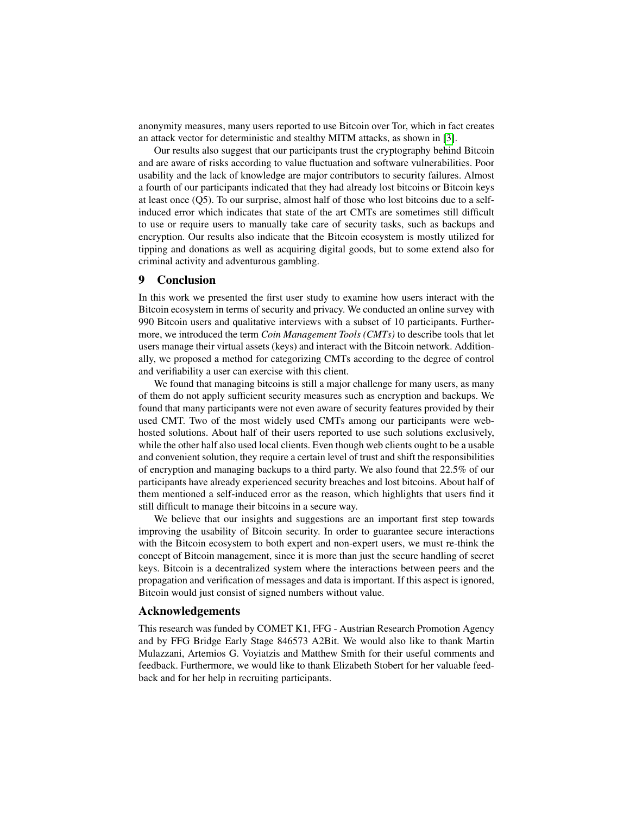anonymity measures, many users reported to use Bitcoin over Tor, which in fact creates an attack vector for deterministic and stealthy MITM attacks, as shown in [\[3\]](#page-15-7).

Our results also suggest that our participants trust the cryptography behind Bitcoin and are aware of risks according to value fluctuation and software vulnerabilities. Poor usability and the lack of knowledge are major contributors to security failures. Almost a fourth of our participants indicated that they had already lost bitcoins or Bitcoin keys at least once (Q5). To our surprise, almost half of those who lost bitcoins due to a selfinduced error which indicates that state of the art CMTs are sometimes still difficult to use or require users to manually take care of security tasks, such as backups and encryption. Our results also indicate that the Bitcoin ecosystem is mostly utilized for tipping and donations as well as acquiring digital goods, but to some extend also for criminal activity and adventurous gambling.

### 9 Conclusion

In this work we presented the first user study to examine how users interact with the Bitcoin ecosystem in terms of security and privacy. We conducted an online survey with 990 Bitcoin users and qualitative interviews with a subset of 10 participants. Furthermore, we introduced the term *Coin Management Tools (CMTs)* to describe tools that let users manage their virtual assets (keys) and interact with the Bitcoin network. Additionally, we proposed a method for categorizing CMTs according to the degree of control and verifiability a user can exercise with this client.

We found that managing bitcoins is still a major challenge for many users, as many of them do not apply sufficient security measures such as encryption and backups. We found that many participants were not even aware of security features provided by their used CMT. Two of the most widely used CMTs among our participants were webhosted solutions. About half of their users reported to use such solutions exclusively, while the other half also used local clients. Even though web clients ought to be a usable and convenient solution, they require a certain level of trust and shift the responsibilities of encryption and managing backups to a third party. We also found that 22.5% of our participants have already experienced security breaches and lost bitcoins. About half of them mentioned a self-induced error as the reason, which highlights that users find it still difficult to manage their bitcoins in a secure way.

We believe that our insights and suggestions are an important first step towards improving the usability of Bitcoin security. In order to guarantee secure interactions with the Bitcoin ecosystem to both expert and non-expert users, we must re-think the concept of Bitcoin management, since it is more than just the secure handling of secret keys. Bitcoin is a decentralized system where the interactions between peers and the propagation and verification of messages and data is important. If this aspect is ignored, Bitcoin would just consist of signed numbers without value.

#### Acknowledgements

This research was funded by COMET K1, FFG - Austrian Research Promotion Agency and by FFG Bridge Early Stage 846573 A2Bit. We would also like to thank Martin Mulazzani, Artemios G. Voyiatzis and Matthew Smith for their useful comments and feedback. Furthermore, we would like to thank Elizabeth Stobert for her valuable feedback and for her help in recruiting participants.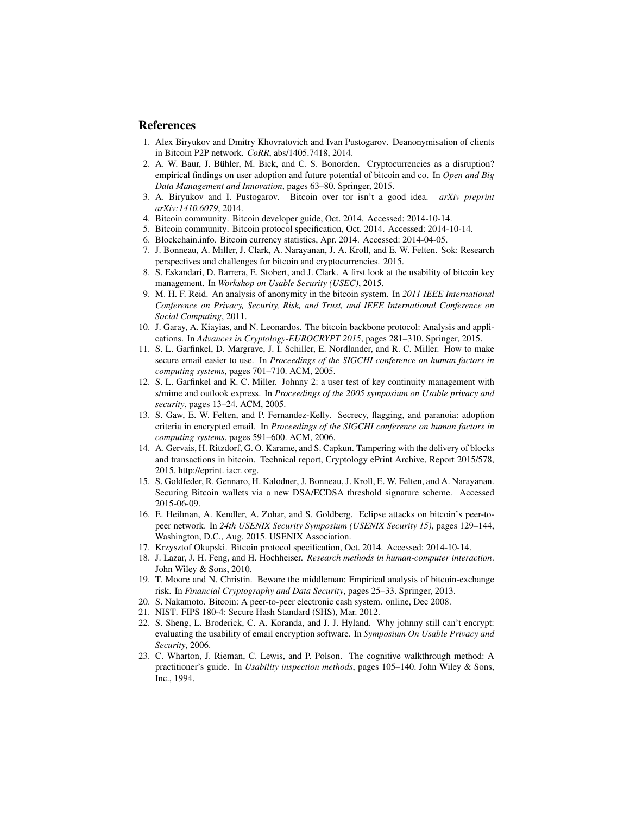# References

- <span id="page-15-6"></span>1. Alex Biryukov and Dmitry Khovratovich and Ivan Pustogarov. Deanonymisation of clients in Bitcoin P2P network. *CoRR*, abs/1405.7418, 2014.
- <span id="page-15-16"></span>2. A. W. Baur, J. Bühler, M. Bick, and C. S. Bonorden. Cryptocurrencies as a disruption? empirical findings on user adoption and future potential of bitcoin and co. In *Open and Big Data Management and Innovation*, pages 63–80. Springer, 2015.
- <span id="page-15-7"></span>3. A. Biryukov and I. Pustogarov. Bitcoin over tor isn't a good idea. *arXiv preprint arXiv:1410.6079*, 2014.
- <span id="page-15-11"></span>4. Bitcoin community. Bitcoin developer guide, Oct. 2014. Accessed: 2014-10-14.
- <span id="page-15-12"></span>5. Bitcoin community. Bitcoin protocol specification, Oct. 2014. Accessed: 2014-10-14.
- <span id="page-15-0"></span>6. Blockchain.info. Bitcoin currency statistics, Apr. 2014. Accessed: 2014-04-05.
- <span id="page-15-2"></span>7. J. Bonneau, A. Miller, J. Clark, A. Narayanan, J. A. Kroll, and E. W. Felten. Sok: Research perspectives and challenges for bitcoin and cryptocurrencies. 2015.
- <span id="page-15-1"></span>8. S. Eskandari, D. Barrera, E. Stobert, and J. Clark. A first look at the usability of bitcoin key management. In *Workshop on Usable Security (USEC)*, 2015.
- <span id="page-15-8"></span>9. M. H. F. Reid. An analysis of anonymity in the bitcoin system. In *2011 IEEE International Conference on Privacy, Security, Risk, and Trust, and IEEE International Conference on Social Computing*, 2011.
- <span id="page-15-3"></span>10. J. Garay, A. Kiayias, and N. Leonardos. The bitcoin backbone protocol: Analysis and applications. In *Advances in Cryptology-EUROCRYPT 2015*, pages 281–310. Springer, 2015.
- <span id="page-15-17"></span>11. S. L. Garfinkel, D. Margrave, J. I. Schiller, E. Nordlander, and R. C. Miller. How to make secure email easier to use. In *Proceedings of the SIGCHI conference on human factors in computing systems*, pages 701–710. ACM, 2005.
- <span id="page-15-18"></span>12. S. L. Garfinkel and R. C. Miller. Johnny 2: a user test of key continuity management with s/mime and outlook express. In *Proceedings of the 2005 symposium on Usable privacy and security*, pages 13–24. ACM, 2005.
- <span id="page-15-20"></span>13. S. Gaw, E. W. Felten, and P. Fernandez-Kelly. Secrecy, flagging, and paranoia: adoption criteria in encrypted email. In *Proceedings of the SIGCHI conference on human factors in computing systems*, pages 591–600. ACM, 2006.
- <span id="page-15-4"></span>14. A. Gervais, H. Ritzdorf, G. O. Karame, and S. Capkun. Tampering with the delivery of blocks and transactions in bitcoin. Technical report, Cryptology ePrint Archive, Report 2015/578, 2015. http://eprint. iacr. org.
- 15. S. Goldfeder, R. Gennaro, H. Kalodner, J. Bonneau, J. Kroll, E. W. Felten, and A. Narayanan. Securing Bitcoin wallets via a new DSA/ECDSA threshold signature scheme. Accessed 2015-06-09.
- <span id="page-15-5"></span>16. E. Heilman, A. Kendler, A. Zohar, and S. Goldberg. Eclipse attacks on bitcoin's peer-topeer network. In *24th USENIX Security Symposium (USENIX Security 15)*, pages 129–144, Washington, D.C., Aug. 2015. USENIX Association.
- <span id="page-15-13"></span>17. Krzysztof Okupski. Bitcoin protocol specification, Oct. 2014. Accessed: 2014-10-14.
- <span id="page-15-21"></span>18. J. Lazar, J. H. Feng, and H. Hochheiser. *Research methods in human-computer interaction*. John Wiley & Sons, 2010.
- <span id="page-15-15"></span>19. T. Moore and N. Christin. Beware the middleman: Empirical analysis of bitcoin-exchange risk. In *Financial Cryptography and Data Security*, pages 25–33. Springer, 2013.
- <span id="page-15-9"></span>20. S. Nakamoto. Bitcoin: A peer-to-peer electronic cash system. online, Dec 2008.
- <span id="page-15-10"></span>21. NIST. FIPS 180-4: Secure Hash Standard (SHS), Mar. 2012.
- <span id="page-15-19"></span>22. S. Sheng, L. Broderick, C. A. Koranda, and J. J. Hyland. Why johnny still can't encrypt: evaluating the usability of email encryption software. In *Symposium On Usable Privacy and Security*, 2006.
- <span id="page-15-14"></span>23. C. Wharton, J. Rieman, C. Lewis, and P. Polson. The cognitive walkthrough method: A practitioner's guide. In *Usability inspection methods*, pages 105–140. John Wiley & Sons, Inc., 1994.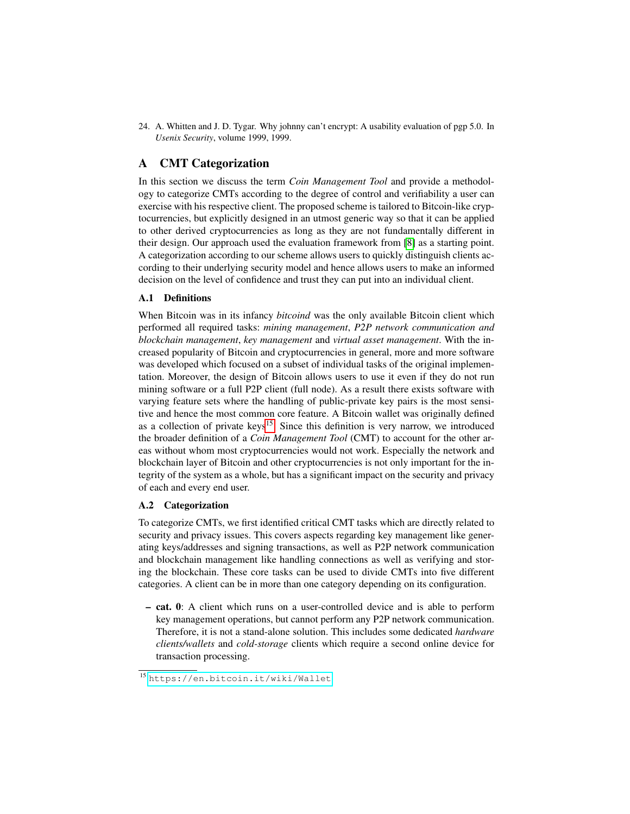<span id="page-16-0"></span>24. A. Whitten and J. D. Tygar. Why johnny can't encrypt: A usability evaluation of pgp 5.0. In *Usenix Security*, volume 1999, 1999.

# <span id="page-16-1"></span>A CMT Categorization

In this section we discuss the term *Coin Management Tool* and provide a methodology to categorize CMTs according to the degree of control and verifiability a user can exercise with his respective client. The proposed scheme is tailored to Bitcoin-like cryptocurrencies, but explicitly designed in an utmost generic way so that it can be applied to other derived cryptocurrencies as long as they are not fundamentally different in their design. Our approach used the evaluation framework from [\[8\]](#page-15-1) as a starting point. A categorization according to our scheme allows users to quickly distinguish clients according to their underlying security model and hence allows users to make an informed decision on the level of confidence and trust they can put into an individual client.

#### A.1 Definitions

When Bitcoin was in its infancy *bitcoind* was the only available Bitcoin client which performed all required tasks: *mining management*, *P2P network communication and blockchain management*, *key management* and *virtual asset management*. With the increased popularity of Bitcoin and cryptocurrencies in general, more and more software was developed which focused on a subset of individual tasks of the original implementation. Moreover, the design of Bitcoin allows users to use it even if they do not run mining software or a full P2P client (full node). As a result there exists software with varying feature sets where the handling of public-private key pairs is the most sensitive and hence the most common core feature. A Bitcoin wallet was originally defined as a collection of private keys<sup>[15](#page-16-2)</sup>. Since this definition is very narrow, we introduced the broader definition of a *Coin Management Tool* (CMT) to account for the other areas without whom most cryptocurrencies would not work. Especially the network and blockchain layer of Bitcoin and other cryptocurrencies is not only important for the integrity of the system as a whole, but has a significant impact on the security and privacy of each and every end user.

#### A.2 Categorization

To categorize CMTs, we first identified critical CMT tasks which are directly related to security and privacy issues. This covers aspects regarding key management like generating keys/addresses and signing transactions, as well as P2P network communication and blockchain management like handling connections as well as verifying and storing the blockchain. These core tasks can be used to divide CMTs into five different categories. A client can be in more than one category depending on its configuration.

– cat. 0: A client which runs on a user-controlled device and is able to perform key management operations, but cannot perform any P2P network communication. Therefore, it is not a stand-alone solution. This includes some dedicated *hardware clients/wallets* and *cold-storage* clients which require a second online device for transaction processing.

<span id="page-16-2"></span><sup>15</sup> <https://en.bitcoin.it/wiki/Wallet>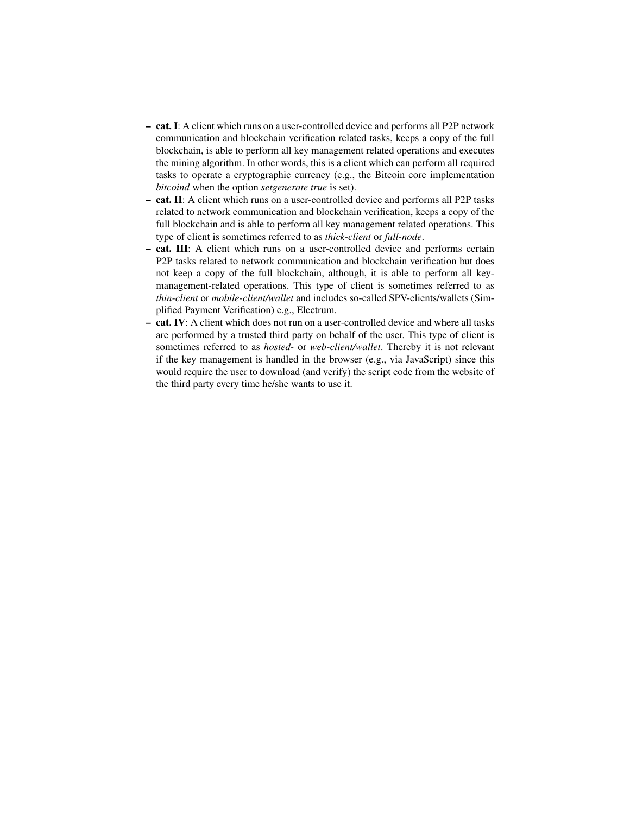- cat. I: A client which runs on a user-controlled device and performs all P2P network communication and blockchain verification related tasks, keeps a copy of the full blockchain, is able to perform all key management related operations and executes the mining algorithm. In other words, this is a client which can perform all required tasks to operate a cryptographic currency (e.g., the Bitcoin core implementation *bitcoind* when the option *setgenerate true* is set).
- cat. II: A client which runs on a user-controlled device and performs all P2P tasks related to network communication and blockchain verification, keeps a copy of the full blockchain and is able to perform all key management related operations. This type of client is sometimes referred to as *thick-client* or *full-node*.
- cat. III: A client which runs on a user-controlled device and performs certain P2P tasks related to network communication and blockchain verification but does not keep a copy of the full blockchain, although, it is able to perform all keymanagement-related operations. This type of client is sometimes referred to as *thin-client* or *mobile-client/wallet* and includes so-called SPV-clients/wallets (Simplified Payment Verification) e.g., Electrum.
- cat. IV: A client which does not run on a user-controlled device and where all tasks are performed by a trusted third party on behalf of the user. This type of client is sometimes referred to as *hosted-* or *web-client/wallet*. Thereby it is not relevant if the key management is handled in the browser (e.g., via JavaScript) since this would require the user to download (and verify) the script code from the website of the third party every time he/she wants to use it.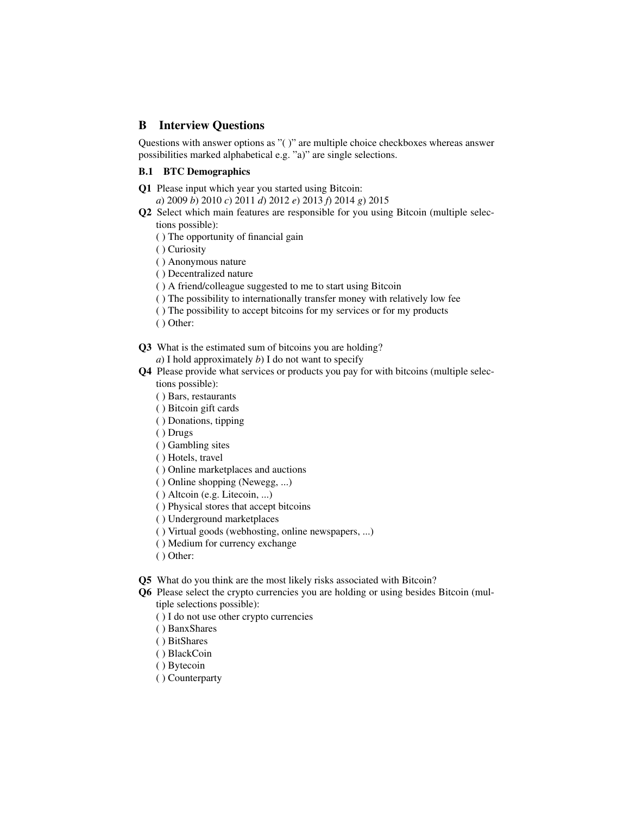# <span id="page-18-0"></span>B Interview Questions

Questions with answer options as "( )" are multiple choice checkboxes whereas answer possibilities marked alphabetical e.g. "a)" are single selections.

### B.1 BTC Demographics

- Q1 Please input which year you started using Bitcoin: *a*) 2009 *b*) 2010 *c*) 2011 *d*) 2012 *e*) 2013 *f*) 2014 *g*) 2015
- Q2 Select which main features are responsible for you using Bitcoin (multiple selections possible):
	- ( ) The opportunity of financial gain
	- ( ) Curiosity
	- ( ) Anonymous nature
	- ( ) Decentralized nature
	- ( ) A friend/colleague suggested to me to start using Bitcoin
	- ( ) The possibility to internationally transfer money with relatively low fee
	- ( ) The possibility to accept bitcoins for my services or for my products
	- ( ) Other:
- Q3 What is the estimated sum of bitcoins you are holding?
	- *a*) I hold approximately *b*) I do not want to specify
- Q4 Please provide what services or products you pay for with bitcoins (multiple selections possible):
	- ( ) Bars, restaurants
	- ( ) Bitcoin gift cards
	- ( ) Donations, tipping
	- ( ) Drugs
	- ( ) Gambling sites
	- ( ) Hotels, travel
	- ( ) Online marketplaces and auctions
	- ( ) Online shopping (Newegg, ...)
	- ( ) Altcoin (e.g. Litecoin, ...)
	- ( ) Physical stores that accept bitcoins
	- ( ) Underground marketplaces
	- ( ) Virtual goods (webhosting, online newspapers, ...)
	- ( ) Medium for currency exchange
	- ( ) Other:
- Q5 What do you think are the most likely risks associated with Bitcoin?
- Q6 Please select the crypto currencies you are holding or using besides Bitcoin (multiple selections possible):
	- ( ) I do not use other crypto currencies
	- ( ) BanxShares
	- ( ) BitShares
	- ( ) BlackCoin
	- ( ) Bytecoin
	- ( ) Counterparty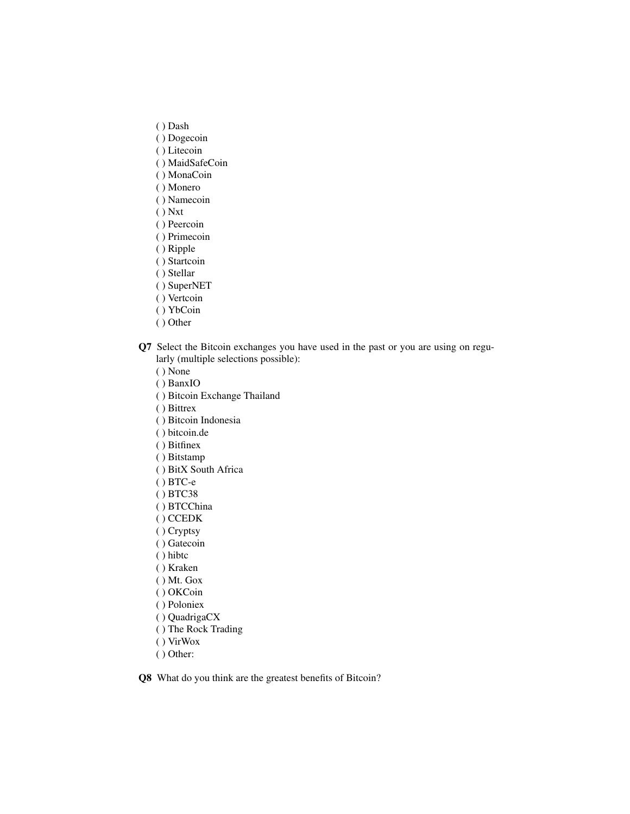( ) Dash

- ( ) Dogecoin
- ( ) Litecoin
- ( ) MaidSafeCoin
- ( ) MonaCoin
- ( ) Monero
- ( ) Namecoin
- ( ) Nxt
- ( ) Peercoin
- ( ) Primecoin
- ( ) Ripple
- ( ) Startcoin
- ( ) Stellar
- ( ) SuperNET
- ( ) Vertcoin
- ( ) YbCoin
- ( ) Other
- Q7 Select the Bitcoin exchanges you have used in the past or you are using on regularly (multiple selections possible):
	- ( ) None
	- ( ) BanxIO
	- ( ) Bitcoin Exchange Thailand
	- ( ) Bittrex
	- ( ) Bitcoin Indonesia
	- ( ) bitcoin.de
	- ( ) Bitfinex
	- ( ) Bitstamp
	- ( ) BitX South Africa
	- ( ) BTC-e
	- ( ) BTC38
	- ( ) BTCChina
	- ( ) CCEDK
	- ( ) Cryptsy
	- ( ) Gatecoin
	- ( ) hibtc
	- ( ) Kraken
	- ( ) Mt. Gox
	- ( ) OKCoin
	- ( ) Poloniex
	- ( ) QuadrigaCX
	- ( ) The Rock Trading
	- ( ) VirWox
	- ( ) Other:

Q8 What do you think are the greatest benefits of Bitcoin?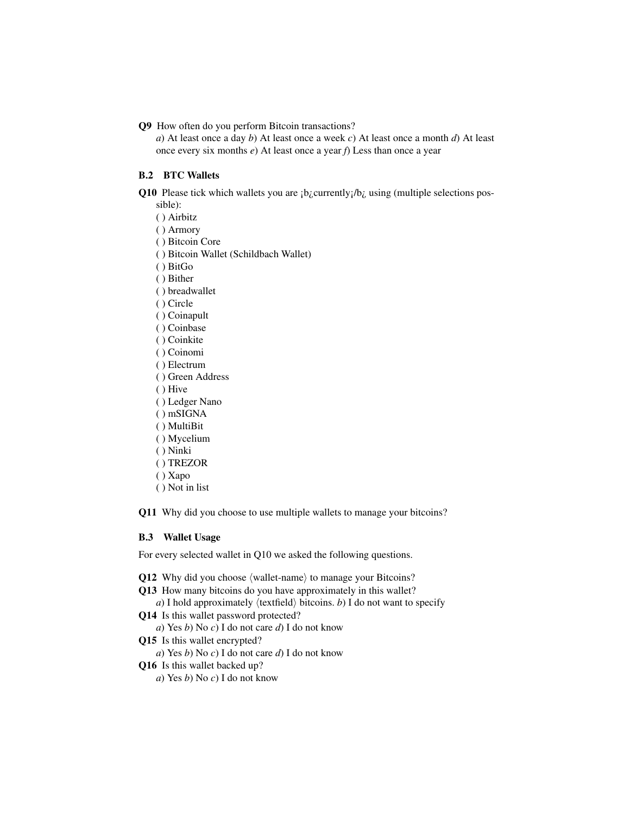Q9 How often do you perform Bitcoin transactions?

*a*) At least once a day *b*) At least once a week *c*) At least once a month *d*) At least once every six months *e*) At least once a year *f*) Less than once a year

### B.2 BTC Wallets

Q10 Please tick which wallets you are *ib*<sub>*i*</sub>currently<sup>*j*</sup>*bi*, using (multiple selections pos-

sible):

- ( ) Airbitz
- ( ) Armory
- ( ) Bitcoin Core
- ( ) Bitcoin Wallet (Schildbach Wallet)
- ( ) BitGo
- ( ) Bither
- ( ) breadwallet
- ( ) Circle
- ( ) Coinapult
- ( ) Coinbase
- ( ) Coinkite
- ( ) Coinomi
- ( ) Electrum
- ( ) Green Address
- ( ) Hive
- ( ) Ledger Nano
- ( ) mSIGNA
- ( ) MultiBit
- ( ) Mycelium
- ( ) Ninki
- ( ) TREZOR
- ( ) Xapo
- ( ) Not in list

Q11 Why did you choose to use multiple wallets to manage your bitcoins?

### B.3 Wallet Usage

For every selected wallet in Q10 we asked the following questions.

Q12 Why did you choose  $\langle \text{wallet-name} \rangle$  to manage your Bitcoins?

Q13 How many bitcoins do you have approximately in this wallet?

- *a*) I hold approximately  $\langle$  textfield $\rangle$  bitcoins. *b*) I do not want to specify
- Q14 Is this wallet password protected?
	- *a*) Yes *b*) No *c*) I do not care *d*) I do not know
- Q15 Is this wallet encrypted?

*a*) Yes *b*) No *c*) I do not care *d*) I do not know

- Q16 Is this wallet backed up?
	- *a*) Yes *b*) No *c*) I do not know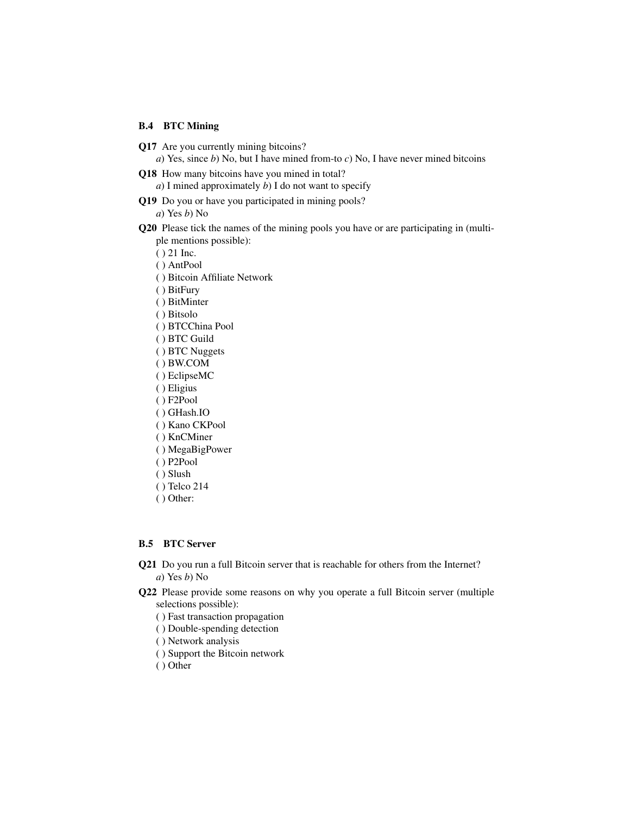### B.4 BTC Mining

Q17 Are you currently mining bitcoins?

*a*) Yes, since *b*) No, but I have mined from-to *c*) No, I have never mined bitcoins

Q18 How many bitcoins have you mined in total?

*a*) I mined approximately *b*) I do not want to specify

Q19 Do you or have you participated in mining pools?

*a*) Yes *b*) No

- Q20 Please tick the names of the mining pools you have or are participating in (multiple mentions possible):
	- ( ) 21 Inc.
	- ( ) AntPool
	- ( ) Bitcoin Affiliate Network
	- ( ) BitFury
	- ( ) BitMinter
	- ( ) Bitsolo
	- ( ) BTCChina Pool
	- ( ) BTC Guild
	- ( ) BTC Nuggets
	- ( ) BW.COM
	- ( ) EclipseMC
	- ( ) Eligius
	- ( ) F2Pool
	- ( ) GHash.IO
	- ( ) Kano CKPool
	- ( ) KnCMiner
	- ( ) MegaBigPower
	- ( ) P2Pool
	- ( ) Slush
	- ( ) Telco 214
	- ( ) Other:

### B.5 BTC Server

- Q21 Do you run a full Bitcoin server that is reachable for others from the Internet? *a*) Yes *b*) No
- Q22 Please provide some reasons on why you operate a full Bitcoin server (multiple selections possible):
	- ( ) Fast transaction propagation
	- ( ) Double-spending detection
	- ( ) Network analysis
	- ( ) Support the Bitcoin network
	- ( ) Other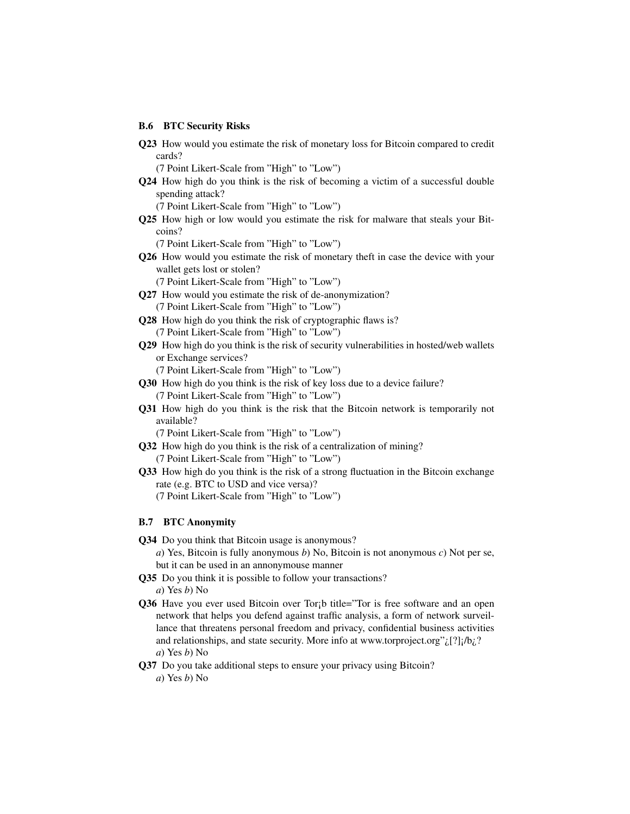#### B.6 BTC Security Risks

Q23 How would you estimate the risk of monetary loss for Bitcoin compared to credit cards?

(7 Point Likert-Scale from "High" to "Low")

Q24 How high do you think is the risk of becoming a victim of a successful double spending attack?

(7 Point Likert-Scale from "High" to "Low")

Q25 How high or low would you estimate the risk for malware that steals your Bitcoins?

(7 Point Likert-Scale from "High" to "Low")

Q26 How would you estimate the risk of monetary theft in case the device with your wallet gets lost or stolen?

(7 Point Likert-Scale from "High" to "Low")

- Q27 How would you estimate the risk of de-anonymization? (7 Point Likert-Scale from "High" to "Low")
- Q28 How high do you think the risk of cryptographic flaws is? (7 Point Likert-Scale from "High" to "Low")
- Q29 How high do you think is the risk of security vulnerabilities in hosted/web wallets or Exchange services?

(7 Point Likert-Scale from "High" to "Low")

- Q30 How high do you think is the risk of key loss due to a device failure? (7 Point Likert-Scale from "High" to "Low")
- Q31 How high do you think is the risk that the Bitcoin network is temporarily not available?

(7 Point Likert-Scale from "High" to "Low")

- Q32 How high do you think is the risk of a centralization of mining? (7 Point Likert-Scale from "High" to "Low")
- Q33 How high do you think is the risk of a strong fluctuation in the Bitcoin exchange rate (e.g. BTC to USD and vice versa)? (7 Point Likert-Scale from "High" to "Low")

#### B.7 BTC Anonymity

- Q34 Do you think that Bitcoin usage is anonymous?
	- *a*) Yes, Bitcoin is fully anonymous *b*) No, Bitcoin is not anonymous *c*) Not per se, but it can be used in an annonymouse manner
- Q35 Do you think it is possible to follow your transactions?

*a*) Yes *b*) No

- Q36 Have you ever used Bitcoin over Tor¡b title="Tor is free software and an open network that helps you defend against traffic analysis, a form of network surveillance that threatens personal freedom and privacy, confidential business activities and relationships, and state security. More info at www.torproject.org"; $[?]$ ; $/b$ ;? *a*) Yes *b*) No
- Q37 Do you take additional steps to ensure your privacy using Bitcoin? *a*) Yes *b*) No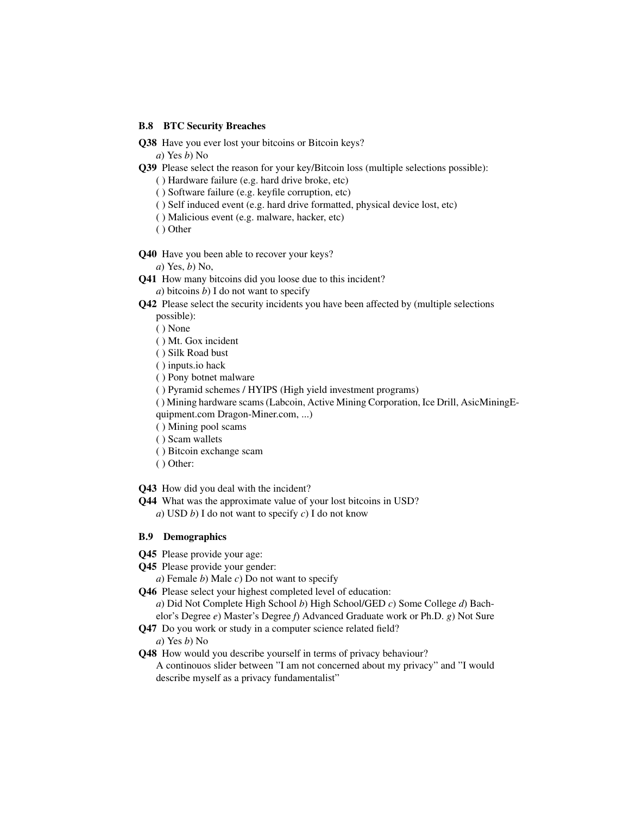#### B.8 BTC Security Breaches

- Q38 Have you ever lost your bitcoins or Bitcoin keys? *a*) Yes *b*) No
- Q39 Please select the reason for your key/Bitcoin loss (multiple selections possible):
	- ( ) Hardware failure (e.g. hard drive broke, etc)
	- ( ) Software failure (e.g. keyfile corruption, etc)
	- ( ) Self induced event (e.g. hard drive formatted, physical device lost, etc)
	- ( ) Malicious event (e.g. malware, hacker, etc)
	- ( ) Other

Q40 Have you been able to recover your keys?

- *a*) Yes, *b*) No,
- Q41 How many bitcoins did you loose due to this incident?

*a*) bitcoins *b*) I do not want to specify

Q42 Please select the security incidents you have been affected by (multiple selections

- possible):
- ( ) None
- ( ) Mt. Gox incident
- ( ) Silk Road bust
- ( ) inputs.io hack
- ( ) Pony botnet malware
- ( ) Pyramid schemes / HYIPS (High yield investment programs)

( ) Mining hardware scams (Labcoin, Active Mining Corporation, Ice Drill, AsicMiningE-

quipment.com Dragon-Miner.com, ...)

- ( ) Mining pool scams
- ( ) Scam wallets
- ( ) Bitcoin exchange scam
- ( ) Other:

Q43 How did you deal with the incident?

- Q44 What was the approximate value of your lost bitcoins in USD?
	- *a*) USD *b*) I do not want to specify *c*) I do not know

### B.9 Demographics

- Q45 Please provide your age:
- Q45 Please provide your gender:
	- *a*) Female *b*) Male *c*) Do not want to specify
- Q46 Please select your highest completed level of education: *a*) Did Not Complete High School *b*) High School/GED *c*) Some College *d*) Bach
	- elor's Degree *e*) Master's Degree *f*) Advanced Graduate work or Ph.D. *g*) Not Sure
- Q47 Do you work or study in a computer science related field? *a*) Yes *b*) No

Q48 How would you describe yourself in terms of privacy behaviour?

A continouos slider between "I am not concerned about my privacy" and "I would describe myself as a privacy fundamentalist"